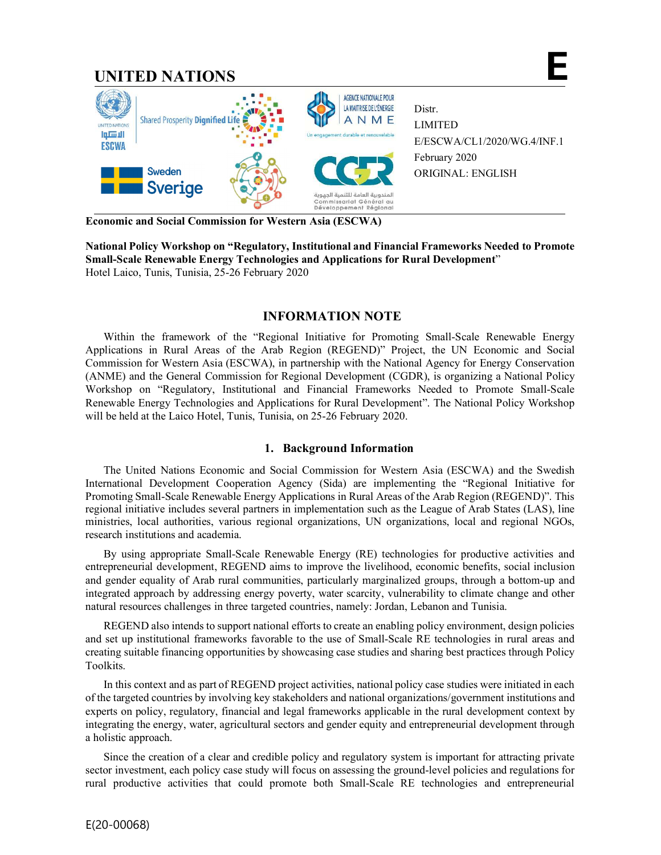

**Economic and Social Commission for Western Asia (ESCWA)**

**National Policy Workshop on "Regulatory, Institutional and Financial Frameworks Needed to Promote Small-Scale Renewable Energy Technologies and Applications for Rural Development**" Hotel Laico, Tunis, Tunisia, 25-26 February 2020

# **INFORMATION NOTE**

Within the framework of the "Regional Initiative for Promoting Small-Scale Renewable Energy Applications in Rural Areas of the Arab Region (REGEND)" Project, the UN Economic and Social Commission for Western Asia (ESCWA), in partnership with the National Agency for Energy Conservation (ANME) and the General Commission for Regional Development (CGDR), is organizing a National Policy Workshop on "Regulatory, Institutional and Financial Frameworks Needed to Promote Small-Scale Renewable Energy Technologies and Applications for Rural Development". The National Policy Workshop will be held at the Laico Hotel, Tunis, Tunisia, on 25-26 February 2020.

## **1. Background Information**

The United Nations Economic and Social Commission for Western Asia (ESCWA) and the Swedish International Development Cooperation Agency (Sida) are implementing the "Regional Initiative for Promoting Small-Scale Renewable Energy Applications in Rural Areas of the Arab Region (REGEND)". This regional initiative includes several partners in implementation such as the League of Arab States (LAS), line ministries, local authorities, various regional organizations, UN organizations, local and regional NGOs, research institutions and academia.

By using appropriate Small-Scale Renewable Energy (RE) technologies for productive activities and entrepreneurial development, REGEND aims to improve the livelihood, economic benefits, social inclusion and gender equality of Arab rural communities, particularly marginalized groups, through a bottom-up and integrated approach by addressing energy poverty, water scarcity, vulnerability to climate change and other natural resources challenges in three targeted countries, namely: Jordan, Lebanon and Tunisia.

REGEND also intends to support national efforts to create an enabling policy environment, design policies and set up institutional frameworks favorable to the use of Small-Scale RE technologies in rural areas and creating suitable financing opportunities by showcasing case studies and sharing best practices through Policy Toolkits.

In this context and as part of REGEND project activities, national policy case studies were initiated in each of the targeted countries by involving key stakeholders and national organizations/government institutions and experts on policy, regulatory, financial and legal frameworks applicable in the rural development context by integrating the energy, water, agricultural sectors and gender equity and entrepreneurial development through a holistic approach.

Since the creation of a clear and credible policy and regulatory system is important for attracting private sector investment, each policy case study will focus on assessing the ground-level policies and regulations for rural productive activities that could promote both Small-Scale RE technologies and entrepreneurial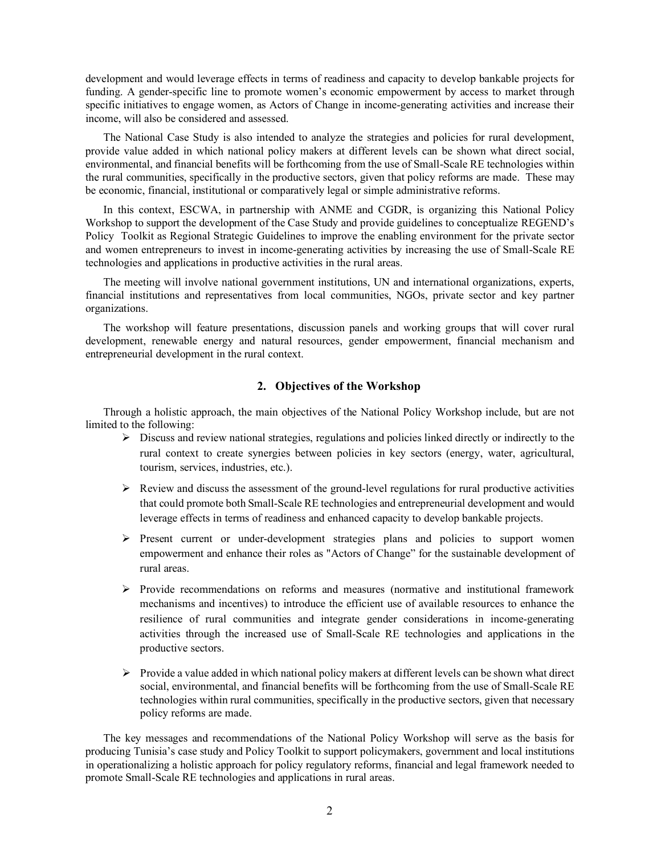development and would leverage effects in terms of readiness and capacity to develop bankable projects for funding. A gender-specific line to promote women's economic empowerment by access to market through specific initiatives to engage women, as Actors of Change in income-generating activities and increase their income, will also be considered and assessed.

The National Case Study is also intended to analyze the strategies and policies for rural development, provide value added in which national policy makers at different levels can be shown what direct social, environmental, and financial benefits will be forthcoming from the use of Small-Scale RE technologies within the rural communities, specifically in the productive sectors, given that policy reforms are made. These may be economic, financial, institutional or comparatively legal or simple administrative reforms.

In this context, ESCWA, in partnership with ANME and CGDR, is organizing this National Policy Workshop to support the development of the Case Study and provide guidelines to conceptualize REGEND's Policy Toolkit as Regional Strategic Guidelines to improve the enabling environment for the private sector and women entrepreneurs to invest in income-generating activities by increasing the use of Small-Scale RE technologies and applications in productive activities in the rural areas.

The meeting will involve national government institutions, UN and international organizations, experts, financial institutions and representatives from local communities, NGOs, private sector and key partner organizations.

The workshop will feature presentations, discussion panels and working groups that will cover rural development, renewable energy and natural resources, gender empowerment, financial mechanism and entrepreneurial development in the rural context.

## **2. Objectives of the Workshop**

Through a holistic approach, the main objectives of the National Policy Workshop include, but are not limited to the following:

- $\triangleright$  Discuss and review national strategies, regulations and policies linked directly or indirectly to the rural context to create synergies between policies in key sectors (energy, water, agricultural, tourism, services, industries, etc.).
- $\triangleright$  Review and discuss the assessment of the ground-level regulations for rural productive activities that could promote both Small-Scale RE technologies and entrepreneurial development and would leverage effects in terms of readiness and enhanced capacity to develop bankable projects.
- $\triangleright$  Present current or under-development strategies plans and policies to support women empowerment and enhance their roles as "Actors of Change" for the sustainable development of rural areas.
- $\triangleright$  Provide recommendations on reforms and measures (normative and institutional framework mechanisms and incentives) to introduce the efficient use of available resources to enhance the resilience of rural communities and integrate gender considerations in income-generating activities through the increased use of Small-Scale RE technologies and applications in the productive sectors.
- $\triangleright$  Provide a value added in which national policy makers at different levels can be shown what direct social, environmental, and financial benefits will be forthcoming from the use of Small-Scale RE technologies within rural communities, specifically in the productive sectors, given that necessary policy reforms are made.

The key messages and recommendations of the National Policy Workshop will serve as the basis for producing Tunisia's case study and Policy Toolkit to support policymakers, government and local institutions in operationalizing a holistic approach for policy regulatory reforms, financial and legal framework needed to promote Small-Scale RE technologies and applications in rural areas.